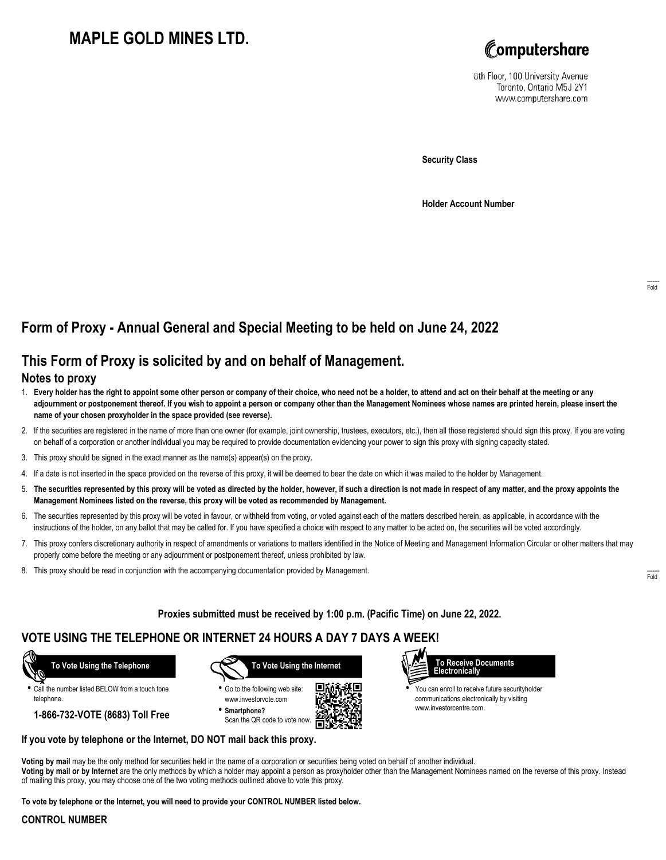# **MAPLE GOLD MINES LTD.**



8th Floor, 100 University Avenue Toronto, Ontario M5J 2Y1 www.computershare.com

**Security Class**

**Holder Account Number**

## **Form of Proxy - Annual General and Special Meeting to be held on June 24, 2022**

## **This Form of Proxy is solicited by and on behalf of Management.**

#### **Notes to proxy**

- 1. **Every holder has the right to appoint some other person or company of their choice, who need not be a holder, to attend and act on their behalf at the meeting or any adjournment or postponement thereof. If you wish to appoint a person or company other than the Management Nominees whose names are printed herein, please insert the name of your chosen proxyholder in the space provided (see reverse).**
- 2. If the securities are registered in the name of more than one owner (for example, joint ownership, trustees, executors, etc.), then all those registered should sign this proxy. If you are voting on behalf of a corporation or another individual you may be required to provide documentation evidencing your power to sign this proxy with signing capacity stated.
- 3. This proxy should be signed in the exact manner as the name(s) appear(s) on the proxy.
- 4. If a date is not inserted in the space provided on the reverse of this proxy, it will be deemed to bear the date on which it was mailed to the holder by Management.
- 5. **The securities represented by this proxy will be voted as directed by the holder, however, if such a direction is not made in respect of any matter, and the proxy appoints the Management Nominees listed on the reverse, this proxy will be voted as recommended by Management.**
- 6. The securities represented by this proxy will be voted in favour, or withheld from voting, or voted against each of the matters described herein, as applicable, in accordance with the instructions of the holder, on any ballot that may be called for. If you have specified a choice with respect to any matter to be acted on, the securities will be voted accordingly.
- 7. This proxy confers discretionary authority in respect of amendments or variations to matters identified in the Notice of Meeting and Management Information Circular or other matters that may properly come before the meeting or any adjournment or postponement thereof, unless prohibited by law.
- 8. This proxy should be read in conjunction with the accompanying documentation provided by Management.

**Proxies submitted must be received by 1:00 p.m. (Pacific Time) on June 22, 2022.**

## **VOTE USING THE TELEPHONE OR INTERNET 24 HOURS A DAY 7 DAYS A WEEK!**



**•** Call the number listed BELOW from a touch tone telephone.

**1-866-732-VOTE (8683) Toll Free**



**•** Go to the following web site: www.investorvote.com **• Smartphone?**

Scan the QR code to vote now.





**•** You can enroll to receive future securityholder communications electronically by visiting www.investorcentre.com.

#### **If you vote by telephone or the Internet, DO NOT mail back this proxy.**

**Voting by mail** may be the only method for securities held in the name of a corporation or securities being voted on behalf of another individual. **Voting by mail or by Internet** are the only methods by which a holder may appoint a person as proxyholder other than the Management Nominees named on the reverse of this proxy. Instead of mailing this proxy, you may choose one of the two voting methods outlined above to vote this proxy.

**To vote by telephone or the Internet, you will need to provide your CONTROL NUMBER listed below.**

#### **CONTROL NUMBER**